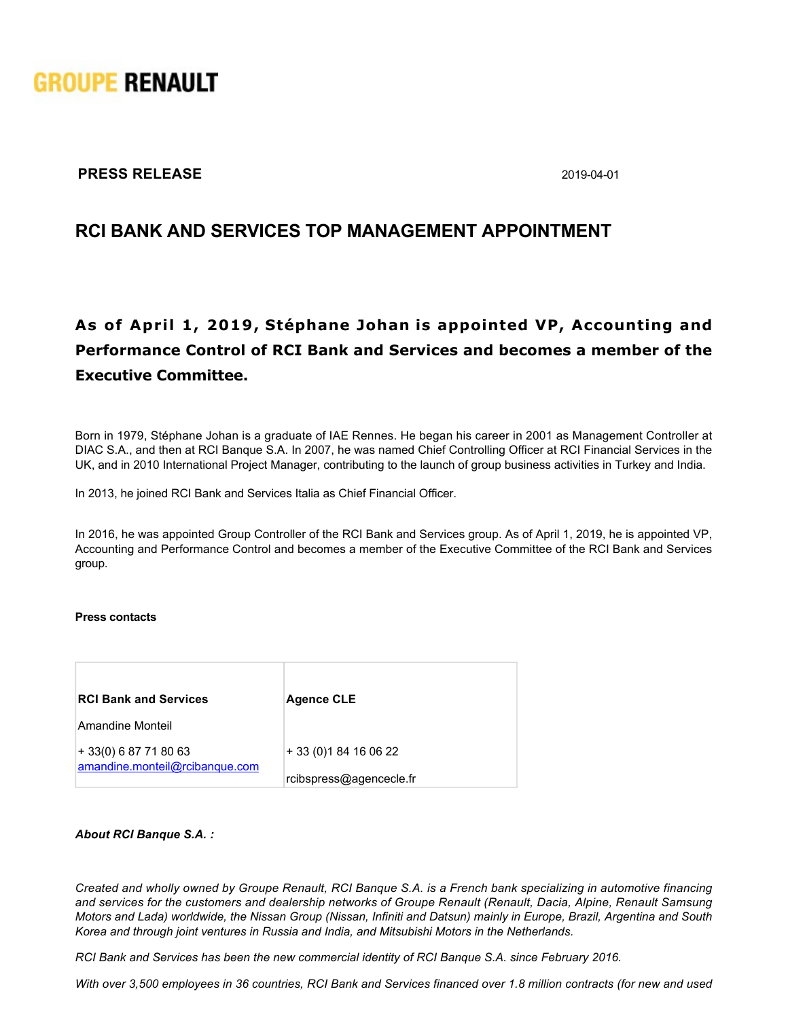

### **PRESS RELEASE** 2019-04-01

## **RCI BANK AND SERVICES TOP MANAGEMENT APPOINTMENT**

# **As of April 1, 2019, Stéphane Johan is appointed VP, Accounting and Performance Control of RCI Bank and Services and becomes a member of the Executive Committee.**

Born in 1979, Stéphane Johan is a graduate of IAE Rennes. He began his career in 2001 as Management Controller at DIAC S.A., and then at RCI Banque S.A. In 2007, he was named Chief Controlling Officer at RCI Financial Services in the UK, and in 2010 International Project Manager, contributing to the launch of group business activities in Turkey and India.

In 2013, he joined RCI Bank and Services Italia as Chief Financial Officer.

In 2016, he was appointed Group Controller of the RCI Bank and Services group. As of April 1, 2019, he is appointed VP, Accounting and Performance Control and becomes a member of the Executive Committee of the RCI Bank and Services group.

### **Press contacts**

| <b>RCI Bank and Services</b>                             | <b>Agence CLE</b>       |
|----------------------------------------------------------|-------------------------|
| Amandine Monteil                                         |                         |
| $+33(0)$ 6 87 71 80 63<br>amandine.monteil@rcibanque.com | + 33 (0) 1 84 16 06 22  |
|                                                          | rcibspress@agencecle.fr |

#### *About RCI Banque S.A. :*

*Created and wholly owned by Groupe Renault, RCI Banque S.A. is a French bank specializing in automotive financing and services for the customers and dealership networks of Groupe Renault (Renault, Dacia, Alpine, Renault Samsung Motors and Lada) worldwide, the Nissan Group (Nissan, Infiniti and Datsun) mainly in Europe, Brazil, Argentina and South Korea and through joint ventures in Russia and India, and Mitsubishi Motors in the Netherlands.*

*RCI Bank and Services has been the new commercial identity of RCI Banque S.A. since February 2016.*

*With over 3,500 employees in 36 countries, RCI Bank and Services financed over 1.8 million contracts (for new and used*